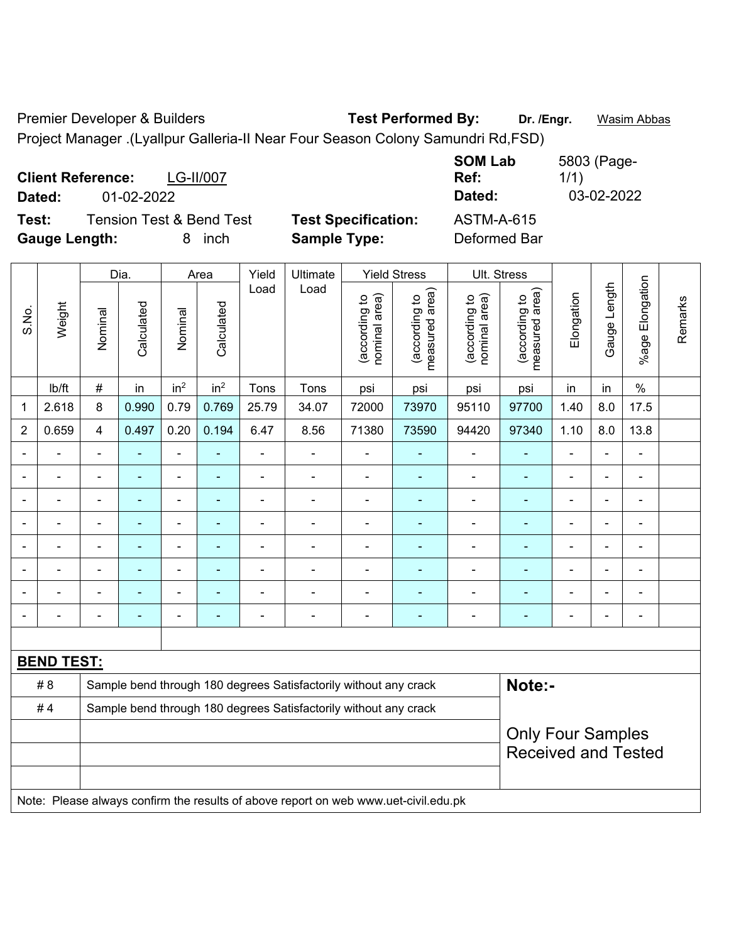Premier Developer & Builders **Test Performed By:** Dr. /Engr. **Wasim Abbas** Project Manager .(Lyallpur Galleria-II Near Four Season Colony Samundri Rd,FSD)

**Client Reference:** LG-II/007 **SOM Lab Ref:**  5803 (Page-1/1) **Dated:** 01-02-2022 **Dated:** 03-02-2022 **Test:** Tension Test & Bend Test **Test Specification:** ASTM-A-615 **Gauge Length:** 8 inch **Sample Type:** Deformed Bar

|                |                                                                                     |                | Dia.                     |                 | Area            | Yield          | Ultimate                                                         |                                | <b>Yield Stress</b>             |                                | Ult. Stress                     |                          |                |                          |         |
|----------------|-------------------------------------------------------------------------------------|----------------|--------------------------|-----------------|-----------------|----------------|------------------------------------------------------------------|--------------------------------|---------------------------------|--------------------------------|---------------------------------|--------------------------|----------------|--------------------------|---------|
| S.No.          | Weight                                                                              | Nominal        | Calculated               | Nominal         | Calculated      | Load           | Load                                                             | nominal area)<br>(according to | (according to<br>measured area) | nominal area)<br>(according to | (according to<br>measured area) | Elongation               | Gauge Length   | Elongation<br>$%$ age I  | Remarks |
|                | lb/ft                                                                               | #              | in                       | in <sup>2</sup> | in <sup>2</sup> | Tons           | Tons                                                             | psi                            | psi                             | psi                            | psi                             | in                       | in             | $\%$                     |         |
| $\mathbf{1}$   | 2.618                                                                               | 8              | 0.990                    | 0.79            | 0.769           | 25.79          | 34.07                                                            | 72000                          | 73970                           | 95110                          | 97700                           | 1.40                     | 8.0            | 17.5                     |         |
| $\overline{2}$ | 0.659                                                                               | 4              | 0.497                    | 0.20            | 0.194           | 6.47           | 8.56                                                             | 71380                          | 73590                           | 94420                          | 97340                           | 1.10                     | 8.0            | 13.8                     |         |
|                |                                                                                     |                |                          | $\blacksquare$  |                 |                |                                                                  |                                |                                 | $\blacksquare$                 |                                 | $\overline{\phantom{a}}$ | ä,             | L,                       |         |
|                |                                                                                     |                | $\blacksquare$           | ä,              | ÷               |                | $\blacksquare$                                                   | $\blacksquare$                 | ٠                               | $\blacksquare$                 | $\blacksquare$                  | $\overline{\phantom{a}}$ | ä,             | $\blacksquare$           |         |
| $\blacksquare$ |                                                                                     | L,             | $\blacksquare$           | ÷,              | ۰               |                |                                                                  | ÷,                             | ۰                               | $\blacksquare$                 | $\blacksquare$                  | ÷                        | $\blacksquare$ | $\blacksquare$           |         |
| $\blacksquare$ |                                                                                     | L,             | ÷,                       | ÷               | ÷               | $\blacksquare$ | ÷,                                                               | $\blacksquare$                 | ÷                               | $\blacksquare$                 | ÷,                              | $\blacksquare$           | $\overline{a}$ | $\overline{\phantom{a}}$ |         |
| $\blacksquare$ | $\blacksquare$                                                                      | Ē,             | $\blacksquare$           | ä,              | ۰               | $\blacksquare$ | $\blacksquare$                                                   | $\blacksquare$                 | $\blacksquare$                  | $\blacksquare$                 | $\blacksquare$                  | $\blacksquare$           | ä,             | $\blacksquare$           |         |
|                | $\blacksquare$                                                                      | $\blacksquare$ | ä,                       | ä,              | ÷               | $\blacksquare$ | $\blacksquare$                                                   | $\blacksquare$                 | ÷                               | $\blacksquare$                 | $\blacksquare$                  | $\blacksquare$           | ä,             | ä,                       |         |
|                |                                                                                     |                | $\blacksquare$           | ä,              |                 |                |                                                                  | $\blacksquare$                 | $\blacksquare$                  | ä,                             |                                 | ä,                       | L,             | L,                       |         |
|                |                                                                                     |                | $\overline{\phantom{0}}$ |                 | ۰               |                |                                                                  | $\overline{\phantom{a}}$       | ٠                               | $\blacksquare$                 |                                 | $\overline{\phantom{0}}$ | ä,             | $\blacksquare$           |         |
|                |                                                                                     |                |                          |                 |                 |                |                                                                  |                                |                                 |                                |                                 |                          |                |                          |         |
|                | <b>BEND TEST:</b>                                                                   |                |                          |                 |                 |                |                                                                  |                                |                                 |                                |                                 |                          |                |                          |         |
|                | #8                                                                                  |                |                          |                 |                 |                | Sample bend through 180 degrees Satisfactorily without any crack |                                |                                 |                                | Note:-                          |                          |                |                          |         |
|                | #4                                                                                  |                |                          |                 |                 |                | Sample bend through 180 degrees Satisfactorily without any crack |                                |                                 |                                |                                 |                          |                |                          |         |
|                |                                                                                     |                |                          |                 |                 |                |                                                                  |                                |                                 |                                | <b>Only Four Samples</b>        |                          |                |                          |         |
|                |                                                                                     |                |                          |                 |                 |                |                                                                  |                                |                                 |                                | <b>Received and Tested</b>      |                          |                |                          |         |
|                |                                                                                     |                |                          |                 |                 |                |                                                                  |                                |                                 |                                |                                 |                          |                |                          |         |
|                | Note: Please always confirm the results of above report on web www.uet-civil.edu.pk |                |                          |                 |                 |                |                                                                  |                                |                                 |                                |                                 |                          |                |                          |         |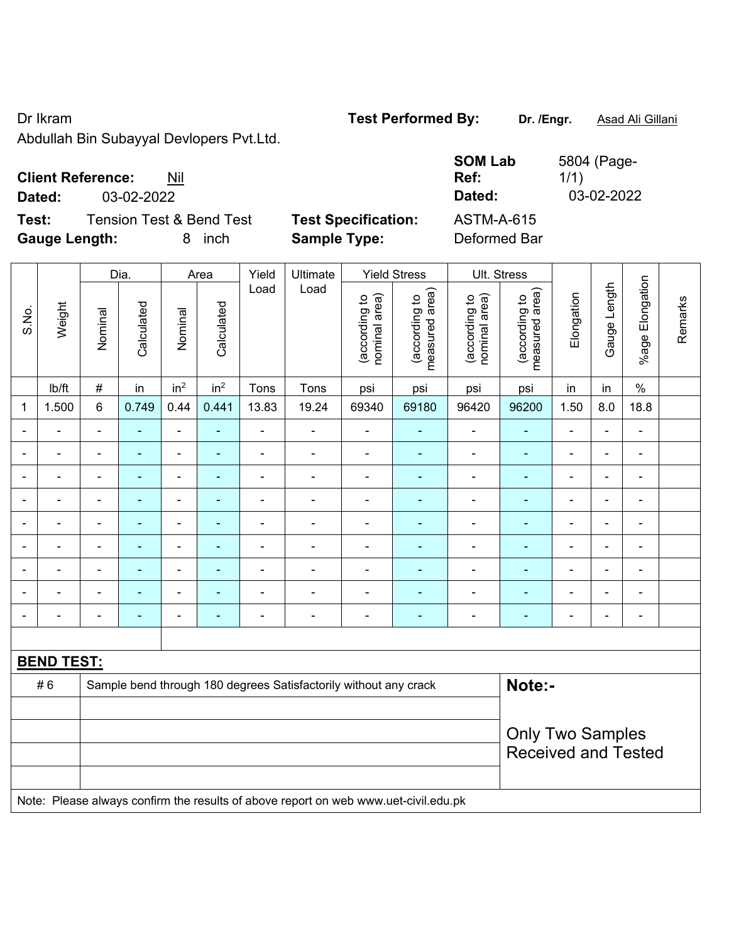Dr Ikram **Test Performed By: Dr. /Engr.** Asad Ali Gillani

Abdullah Bin Subayyal Devlopers Pvt.Ltd.

| <b>Client Reference:</b> | Nil |
|--------------------------|-----|
|--------------------------|-----|

**Dated:** 03-02-2022 **Dated:** 03-02-2022

**Test:** Tension Test & Bend Test **Test Specification: Gauge Length:** 8 inch **Sample Type:** Deformed Bar

| <b>SOM Lab</b><br>Ref: | 5804 (Page-<br>1/1) |
|------------------------|---------------------|
| Dated:                 | 03-02-2022          |
| <b>ASTM-A-615</b>      |                     |
|                        |                     |

|                |                                                                                     |                | Dia.           |                          | Area                     | Yield          | Ultimate                                                         |                                | <b>Yield Stress</b>             |                                | Ult. Stress                     |                              |                |                      |         |
|----------------|-------------------------------------------------------------------------------------|----------------|----------------|--------------------------|--------------------------|----------------|------------------------------------------------------------------|--------------------------------|---------------------------------|--------------------------------|---------------------------------|------------------------------|----------------|----------------------|---------|
| S.No.          | Weight                                                                              | Nominal        | Calculated     | Nominal                  | Calculated               | Load           | Load                                                             | (according to<br>nominal area) | (according to<br>measured area) | (according to<br>nominal area) | (according to<br>measured area) | Elongation                   | Gauge Length   | Elongation<br>%age F | Remarks |
|                | lb/ft                                                                               | #              | in             | in <sup>2</sup>          | in <sup>2</sup>          | Tons           | Tons                                                             | psi                            | psi                             | psi                            | psi                             | in                           | in             | $\%$                 |         |
| 1              | 1.500                                                                               | 6              | 0.749          | 0.44                     | 0.441                    | 13.83          | 19.24                                                            | 69340                          | 69180                           | 96420                          | 96200                           | 1.50                         | 8.0            | 18.8                 |         |
|                |                                                                                     | ä,             | ÷              | $\blacksquare$           | $\blacksquare$           | L,             | ÷                                                                | $\blacksquare$                 | ۰                               | $\blacksquare$                 | $\blacksquare$                  | $\blacksquare$               |                | ä,                   |         |
|                |                                                                                     | Ē,             |                | ä,                       |                          | ÷              | ÷,                                                               | $\blacksquare$                 |                                 | $\blacksquare$                 | ÷,                              | ÷,                           |                | $\blacksquare$       |         |
|                |                                                                                     | $\blacksquare$ | $\blacksquare$ | $\blacksquare$           | $\overline{\phantom{a}}$ | $\blacksquare$ | $\overline{\phantom{a}}$                                         | $\blacksquare$                 | ۰                               | $\overline{\phantom{a}}$       | ÷,                              | $\blacksquare$               | $\blacksquare$ | $\blacksquare$       |         |
|                |                                                                                     | $\blacksquare$ | ÷              | $\blacksquare$           | $\blacksquare$           | ÷              | $\frac{1}{2}$                                                    | $\overline{a}$                 | ۰                               | $\overline{\phantom{a}}$       | ٠                               | $\qquad \qquad \blacksquare$ | $\blacksquare$ | $\blacksquare$       |         |
|                |                                                                                     | $\blacksquare$ | $\blacksquare$ | $\overline{\phantom{a}}$ | $\overline{\phantom{a}}$ | ÷              | ÷                                                                | $\overline{a}$                 | ÷                               | $\blacksquare$                 | ۰                               | $\blacksquare$               |                | $\blacksquare$       |         |
|                | $\blacksquare$                                                                      | ä,             | ÷,             | $\blacksquare$           | $\blacksquare$           | $\blacksquare$ | $\blacksquare$                                                   | $\blacksquare$                 | $\blacksquare$                  | $\blacksquare$                 | ÷                               | $\blacksquare$               | $\blacksquare$ | $\blacksquare$       |         |
|                |                                                                                     | $\blacksquare$ | $\blacksquare$ | $\overline{\phantom{a}}$ |                          |                | ÷                                                                |                                | ÷                               | $\blacksquare$                 | $\blacksquare$                  | ۳                            |                | $\blacksquare$       |         |
|                |                                                                                     |                |                | ۰                        |                          |                | ÷                                                                | $\blacksquare$                 |                                 | $\blacksquare$                 | $\blacksquare$                  | -                            |                | $\blacksquare$       |         |
| $\blacksquare$ |                                                                                     | ä,             |                | $\blacksquare$           | $\blacksquare$           | ÷              | ÷                                                                | $\blacksquare$                 | ۰                               | $\blacksquare$                 | ÷,                              | $\blacksquare$               |                | $\blacksquare$       |         |
|                |                                                                                     |                |                |                          |                          |                |                                                                  |                                |                                 |                                |                                 |                              |                |                      |         |
|                | <b>BEND TEST:</b>                                                                   |                |                |                          |                          |                |                                                                  |                                |                                 |                                |                                 |                              |                |                      |         |
|                | #6                                                                                  |                |                |                          |                          |                | Sample bend through 180 degrees Satisfactorily without any crack |                                |                                 |                                | Note:-                          |                              |                |                      |         |
|                |                                                                                     |                |                |                          |                          |                |                                                                  |                                |                                 |                                |                                 |                              |                |                      |         |
|                |                                                                                     |                |                |                          |                          |                |                                                                  |                                |                                 |                                | <b>Only Two Samples</b>         |                              |                |                      |         |
|                |                                                                                     |                |                |                          |                          |                |                                                                  |                                |                                 |                                | <b>Received and Tested</b>      |                              |                |                      |         |
|                |                                                                                     |                |                |                          |                          |                |                                                                  |                                |                                 |                                |                                 |                              |                |                      |         |
|                | Note: Please always confirm the results of above report on web www.uet-civil.edu.pk |                |                |                          |                          |                |                                                                  |                                |                                 |                                |                                 |                              |                |                      |         |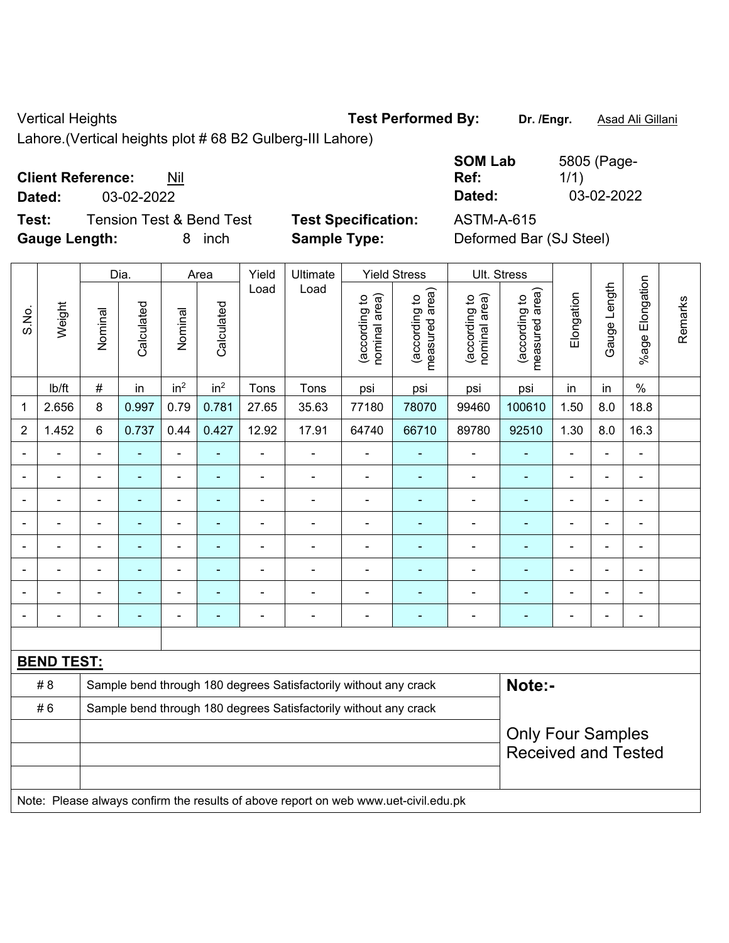## Vertical Heights **Test Performed By: Dr. /Engr.** Asad Ali Gillani

Lahore.(Vertical heights plot # 68 B2 Gulberg-III Lahore)

## **Client Reference:** Nil

**Test:** Tension Test & Bend Test **Test Specification:** ASTM-A-615 **Gauge Length:** 8 inch **Sample Type:** Deformed Bar (SJ Steel)

**SOM Lab Ref:**  5805 (Page-1/1) **Dated:** 03-02-2022 **Dated:** 03-02-2022

|                |                   |                | Dia.           |                              | Area            | Yield          | Ultimate                                                                            |                                | <b>Yield Stress</b>             |                                | Ult. Stress                                            |                |                          |                          |         |
|----------------|-------------------|----------------|----------------|------------------------------|-----------------|----------------|-------------------------------------------------------------------------------------|--------------------------------|---------------------------------|--------------------------------|--------------------------------------------------------|----------------|--------------------------|--------------------------|---------|
| S.No.          | Weight            | Nominal        | Calculated     | Nominal                      | Calculated      | Load           | Load                                                                                | (according to<br>nominal area) | (according to<br>measured area) | nominal area)<br>(according to | measured area)<br>(according to                        | Elongation     | Gauge Length             | Elongation<br>$%$ age I  | Remarks |
|                | Ib/ft             | $\#$           | in             | in <sup>2</sup>              | in <sup>2</sup> | Tons           | Tons                                                                                | psi                            | psi                             | psi                            | psi                                                    | in             | in                       | $\frac{0}{0}$            |         |
| 1              | 2.656             | 8              | 0.997          | 0.79                         | 0.781           | 27.65          | 35.63                                                                               | 77180                          | 78070                           | 99460                          | 100610                                                 | 1.50           | 8.0                      | 18.8                     |         |
| $\overline{2}$ | 1.452             | $6\phantom{1}$ | 0.737          | 0.44                         | 0.427           | 12.92          | 17.91                                                                               | 64740                          | 66710                           | 89780                          | 92510                                                  | 1.30           | 8.0                      | 16.3                     |         |
|                |                   |                |                | $\blacksquare$               |                 |                |                                                                                     | $\blacksquare$                 |                                 | $\blacksquare$                 | ä,                                                     |                |                          | $\blacksquare$           |         |
|                |                   | $\blacksquare$ | $\blacksquare$ | $\qquad \qquad \blacksquare$ | ÷               | $\blacksquare$ | $\blacksquare$                                                                      | $\blacksquare$                 | $\blacksquare$                  | $\qquad \qquad \blacksquare$   | $\frac{1}{2}$                                          | $\blacksquare$ |                          | $\overline{\phantom{a}}$ |         |
| $\blacksquare$ | $\blacksquare$    | $\blacksquare$ | ÷              | ÷,                           | $\sim$          | $\blacksquare$ | $\blacksquare$                                                                      | $\blacksquare$                 | ÷                               | $\overline{\phantom{a}}$       | $\blacksquare$                                         | $\blacksquare$ | $\overline{\phantom{0}}$ | $\blacksquare$           |         |
|                | ä,                | $\blacksquare$ | ÷              | $\blacksquare$               | ٠               | ä,             | ä,                                                                                  | $\blacksquare$                 | $\blacksquare$                  | $\blacksquare$                 | ÷,                                                     | $\blacksquare$ | $\blacksquare$           | $\overline{\phantom{a}}$ |         |
|                |                   |                | $\blacksquare$ | $\blacksquare$               | ä,              | $\blacksquare$ | $\blacksquare$                                                                      | $\blacksquare$                 | ÷                               | ۰                              | ÷                                                      | $\blacksquare$ | $\blacksquare$           | $\blacksquare$           |         |
|                |                   |                |                | $\overline{a}$               |                 |                |                                                                                     |                                | ÷                               | $\blacksquare$                 |                                                        |                |                          | $\overline{\phantom{0}}$ |         |
|                |                   |                |                | $\blacksquare$               |                 |                | $\blacksquare$                                                                      | $\blacksquare$                 | ÷                               | $\blacksquare$                 | ÷,                                                     |                |                          | $\blacksquare$           |         |
| $\blacksquare$ | ÷                 | $\blacksquare$ | $\blacksquare$ | ä,                           | $\blacksquare$  | $\overline{a}$ | $\blacksquare$                                                                      | $\overline{\phantom{a}}$       | ÷                               | $\overline{\phantom{a}}$       | ÷,                                                     | $\blacksquare$ | $\overline{\phantom{0}}$ | $\overline{\phantom{a}}$ |         |
|                |                   |                |                |                              |                 |                |                                                                                     |                                |                                 |                                |                                                        |                |                          |                          |         |
|                | <b>BEND TEST:</b> |                |                |                              |                 |                |                                                                                     |                                |                                 |                                |                                                        |                |                          |                          |         |
|                | # 8               |                |                |                              |                 |                | Sample bend through 180 degrees Satisfactorily without any crack                    |                                |                                 |                                | Note:-                                                 |                |                          |                          |         |
|                | #6                |                |                |                              |                 |                | Sample bend through 180 degrees Satisfactorily without any crack                    |                                |                                 |                                |                                                        |                |                          |                          |         |
|                |                   |                |                |                              |                 |                |                                                                                     |                                |                                 |                                | <b>Only Four Samples</b><br><b>Received and Tested</b> |                |                          |                          |         |
|                |                   |                |                |                              |                 |                | Note: Please always confirm the results of above report on web www.uet-civil.edu.pk |                                |                                 |                                |                                                        |                |                          |                          |         |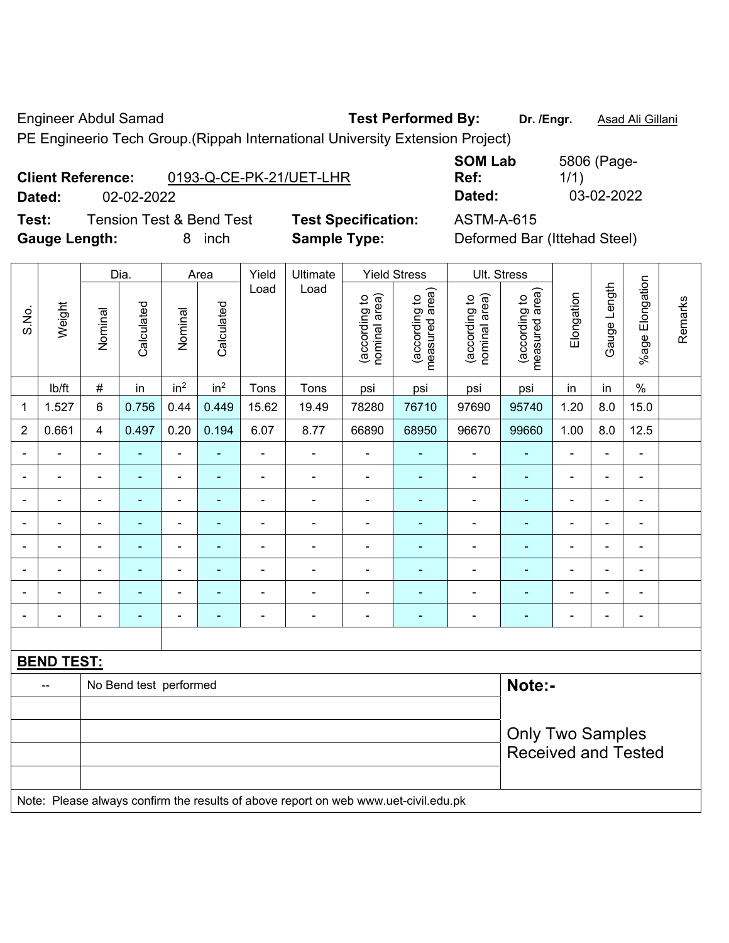Engineer Abdul Samad **Test Performed By:** Dr. /Engr. **Asad Ali Gillani** 

PE Engineerio Tech Group.(Rippah International University Extension Project)

|        | <b>Client Reference:</b> | 0193-Q-CE-PK-21/UET-LHR             |                     |
|--------|--------------------------|-------------------------------------|---------------------|
| Dated: | 02-02-2022               |                                     |                     |
| Test:  |                          | <b>Tension Test &amp; Bend Test</b> | <b>Test Specifi</b> |

**SOM Lab Ref:**  5806 (Page-1/1) **Dated:** 02-02-2022 **Dated:** 03-02-2022

**Gauge Length:** 8 inch **Sample Type:** Deformed Bar (Ittehad Steel)

**Teation:** ASTM-A-615

|                |                   |                          | Dia.                   |                              | Area                     | Yield          | Ultimate                                                                            |                                | <b>Yield Stress</b>               |                                | Ult. Stress                     |                |                |                          |         |
|----------------|-------------------|--------------------------|------------------------|------------------------------|--------------------------|----------------|-------------------------------------------------------------------------------------|--------------------------------|-----------------------------------|--------------------------------|---------------------------------|----------------|----------------|--------------------------|---------|
| S.No.          | Weight            | Nominal                  | Calculated             | Nominal                      | Calculated               | Load           | Load                                                                                | nominal area)<br>(according to | (according to  <br>measured area) | nominal area)<br>(according to | (according to<br>measured area) | Elongation     | Gauge Length   | %age Elongation          | Remarks |
|                | Ib/ft             | $\#$                     | in                     | in <sup>2</sup>              | in <sup>2</sup>          | Tons           | Tons                                                                                | psi                            | psi                               | psi                            | psi                             | in             | in             | $\%$                     |         |
| $\mathbf{1}$   | 1.527             | 6                        | 0.756                  | 0.44                         | 0.449                    | 15.62          | 19.49                                                                               | 78280                          | 76710                             | 97690                          | 95740                           | 1.20           | 8.0            | 15.0                     |         |
| $\overline{2}$ | 0.661             | $\overline{4}$           | 0.497                  | 0.20                         | 0.194                    | 6.07           | 8.77                                                                                | 66890                          | 68950                             | 96670                          | 99660                           | 1.00           | 8.0            | 12.5                     |         |
| $\blacksquare$ | $\blacksquare$    | $\overline{\phantom{a}}$ | ÷                      | $\blacksquare$               | ٠                        | ä,             | ä,                                                                                  | $\qquad \qquad \blacksquare$   | $\blacksquare$                    | $\qquad \qquad \blacksquare$   | ÷,                              | ä,             | $\blacksquare$ | $\blacksquare$           |         |
|                | $\blacksquare$    | $\blacksquare$           | ÷,                     | $\qquad \qquad \blacksquare$ | $\blacksquare$           | $\blacksquare$ | $\frac{1}{2}$                                                                       | $\overline{\phantom{a}}$       | $\blacksquare$                    | $\blacksquare$                 | $\blacksquare$                  | ä,             | ÷,             | $\overline{\phantom{a}}$ |         |
|                |                   | $\blacksquare$           | ä,                     | $\blacksquare$               |                          |                |                                                                                     | $\blacksquare$                 | $\blacksquare$                    | $\blacksquare$                 | ٠                               | ÷,             | L.             | $\blacksquare$           |         |
|                |                   | $\blacksquare$           | $\blacksquare$         | $\blacksquare$               |                          |                |                                                                                     |                                | $\blacksquare$                    | $\overline{\phantom{0}}$       | $\blacksquare$                  |                | ۰              | $\blacksquare$           |         |
|                |                   | $\blacksquare$           |                        | $\blacksquare$               |                          |                |                                                                                     | $\overline{\phantom{a}}$       | $\blacksquare$                    | $\blacksquare$                 | ٠                               | ÷,             | ÷              | ä,                       |         |
| $\blacksquare$ |                   | $\blacksquare$           | ۰                      | $\overline{\phantom{a}}$     | $\overline{\phantom{0}}$ | $\blacksquare$ | $\blacksquare$                                                                      | $\blacksquare$                 | ۰                                 | $\blacksquare$                 | $\blacksquare$                  | $\blacksquare$ | ۰              | $\blacksquare$           |         |
|                |                   | $\blacksquare$           | $\blacksquare$         | $\blacksquare$               |                          |                |                                                                                     | $\blacksquare$                 | ۰                                 | $\overline{\phantom{0}}$       | $\blacksquare$                  | ٠              | ÷,             | $\overline{\phantom{a}}$ |         |
|                | $\blacksquare$    | $\blacksquare$           | $\blacksquare$         | $\overline{\phantom{a}}$     | $\blacksquare$           |                | $\blacksquare$                                                                      | $\overline{\phantom{a}}$       | $\blacksquare$                    | $\blacksquare$                 | $\blacksquare$                  | Ē,             | $\blacksquare$ | ä,                       |         |
|                |                   |                          |                        |                              |                          |                |                                                                                     |                                |                                   |                                |                                 |                |                |                          |         |
|                | <b>BEND TEST:</b> |                          |                        |                              |                          |                |                                                                                     |                                |                                   |                                |                                 |                |                |                          |         |
|                |                   |                          | No Bend test performed |                              |                          |                |                                                                                     |                                |                                   |                                | Note:-                          |                |                |                          |         |
|                |                   |                          |                        |                              |                          |                |                                                                                     |                                |                                   |                                |                                 |                |                |                          |         |
|                |                   |                          |                        |                              |                          |                |                                                                                     |                                |                                   |                                | <b>Only Two Samples</b>         |                |                |                          |         |
|                |                   |                          |                        |                              |                          |                |                                                                                     |                                |                                   |                                | <b>Received and Tested</b>      |                |                |                          |         |
|                |                   |                          |                        |                              |                          |                | Note: Please always confirm the results of above report on web www.uet-civil.edu.pk |                                |                                   |                                |                                 |                |                |                          |         |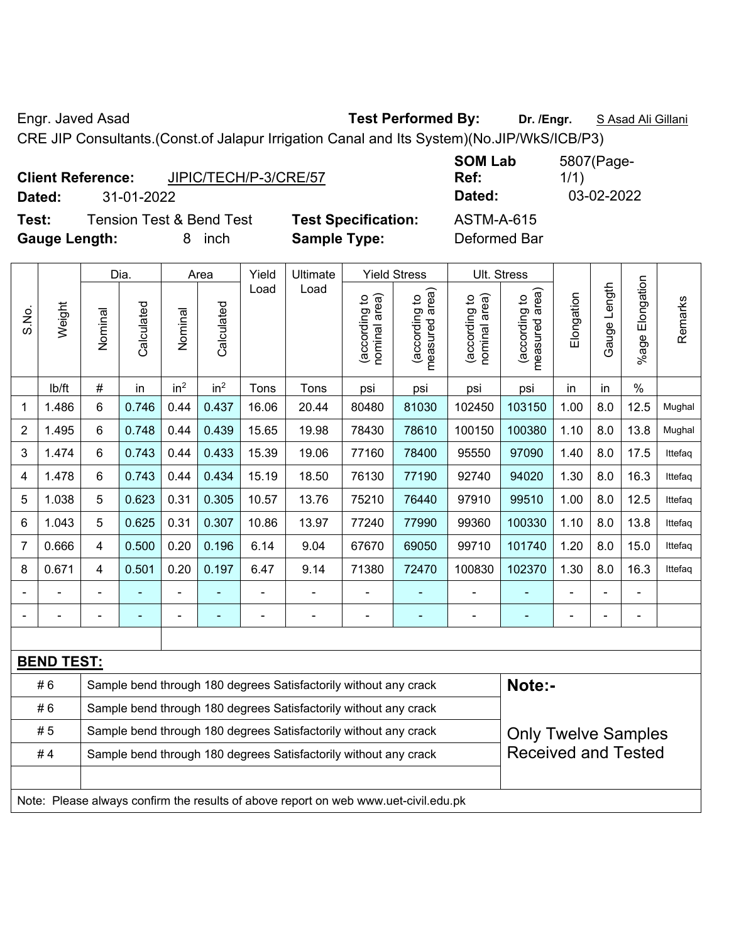Engr. Javed Asad **Test Performed By: Dr. /Engr.** S Asad Ali Gillani

CRE JIP Consultants.(Const.of Jalapur Irrigation Canal and Its System)(No.JIP/WkS/ICB/P3)

|                      | <b>Client Reference:</b> | JIPIC/TECH/P-3/CRE/57               |                            | <b>SUM LAD</b><br>Ref: |
|----------------------|--------------------------|-------------------------------------|----------------------------|------------------------|
| Dated:               | 31-01-2022               |                                     |                            | Dated:                 |
| Test:                |                          | <b>Tension Test &amp; Bend Test</b> | <b>Test Specification:</b> | <b>ASTM-A-615</b>      |
| <b>Gauge Length:</b> |                          | inch                                | <b>Sample Type:</b>        | Deformed Bar           |

**SOM Lab Ref:**  5807(Page-1/1) **Dated:** 31-01-2022 **Dated:** 03-02-2022 **Fication:** ASTM-A-615

|                |                   |                | Dia.       |                 | Area            | Yield | Ultimate                                                                            |                                | <b>Yield Stress</b>                         |                                | Ult. Stress                     |            |              |                       |         |
|----------------|-------------------|----------------|------------|-----------------|-----------------|-------|-------------------------------------------------------------------------------------|--------------------------------|---------------------------------------------|--------------------------------|---------------------------------|------------|--------------|-----------------------|---------|
| S.No.          | Weight            | Nominal        | Calculated | Nominal         | Calculated      | Load  | Load                                                                                | nominal area)<br>(according to | (according to<br>measured area)<br>measured | (according to<br>nominal area) | measured area)<br>(according to | Elongation | Gauge Length | Elongation<br>$%$ age | Remarks |
|                | lb/ft             | $\#$           | in         | in <sup>2</sup> | in <sup>2</sup> | Tons  | Tons                                                                                | psi                            | psi                                         | psi                            | psi                             | in         | in           | $\%$                  |         |
| 1              | 1.486             | 6              | 0.746      | 0.44            | 0.437           | 16.06 | 20.44                                                                               | 80480                          | 81030                                       | 102450                         | 103150                          | 1.00       | 8.0          | 12.5                  | Mughal  |
| $\overline{2}$ | 1.495             | 6              | 0.748      | 0.44            | 0.439           | 15.65 | 19.98                                                                               | 78430                          | 78610                                       | 100150                         | 100380                          | 1.10       | 8.0          | 13.8                  | Mughal  |
| 3              | 1.474             | 6              | 0.743      | 0.44            | 0.433           | 15.39 | 19.06                                                                               | 77160                          | 78400                                       | 95550                          | 97090                           | 1.40       | 8.0          | 17.5                  | Ittefaq |
| 4              | 1.478             | 6              | 0.743      | 0.44            | 0.434           | 15.19 | 18.50                                                                               | 76130                          | 77190                                       | 92740                          | 94020                           | 1.30       | 8.0          | 16.3                  | Ittefaq |
| 5              | 1.038             | 5              | 0.623      | 0.31            | 0.305           | 10.57 | 13.76                                                                               | 75210                          | 76440                                       | 97910                          | 99510                           | 1.00       | 8.0          | 12.5                  | Ittefag |
| 6              | 1.043             | 5              | 0.625      | 0.31            | 0.307           | 10.86 | 13.97                                                                               | 77240                          | 77990                                       | 99360                          | 100330                          | 1.10       | 8.0          | 13.8                  | Ittefag |
| $\overline{7}$ | 0.666             | $\overline{4}$ | 0.500      | 0.20            | 0.196           | 6.14  | 9.04                                                                                | 67670                          | 69050                                       | 99710                          | 101740                          | 1.20       | 8.0          | 15.0                  | Ittefag |
| 8              | 0.671             | $\overline{4}$ | 0.501      | 0.20            | 0.197           | 6.47  | 9.14                                                                                | 71380                          | 72470                                       | 100830                         | 102370                          | 1.30       | 8.0          | 16.3                  | Ittefaq |
|                |                   |                |            |                 |                 |       |                                                                                     |                                |                                             |                                |                                 |            |              | $\blacksquare$        |         |
| $\blacksquare$ |                   |                |            |                 |                 |       | ÷,                                                                                  |                                | ÷                                           |                                |                                 |            |              | $\blacksquare$        |         |
|                |                   |                |            |                 |                 |       |                                                                                     |                                |                                             |                                |                                 |            |              |                       |         |
|                | <b>BEND TEST:</b> |                |            |                 |                 |       |                                                                                     |                                |                                             |                                |                                 |            |              |                       |         |
|                | #6                |                |            |                 |                 |       | Sample bend through 180 degrees Satisfactorily without any crack                    |                                |                                             |                                | Note:-                          |            |              |                       |         |
|                | #6                |                |            |                 |                 |       | Sample bend through 180 degrees Satisfactorily without any crack                    |                                |                                             |                                |                                 |            |              |                       |         |
|                | #5                |                |            |                 |                 |       | Sample bend through 180 degrees Satisfactorily without any crack                    |                                |                                             |                                | <b>Only Twelve Samples</b>      |            |              |                       |         |
|                | #4                |                |            |                 |                 |       | Sample bend through 180 degrees Satisfactorily without any crack                    |                                |                                             |                                | <b>Received and Tested</b>      |            |              |                       |         |
|                |                   |                |            |                 |                 |       | Note: Please always confirm the results of above report on web www.uet-civil.edu.pk |                                |                                             |                                |                                 |            |              |                       |         |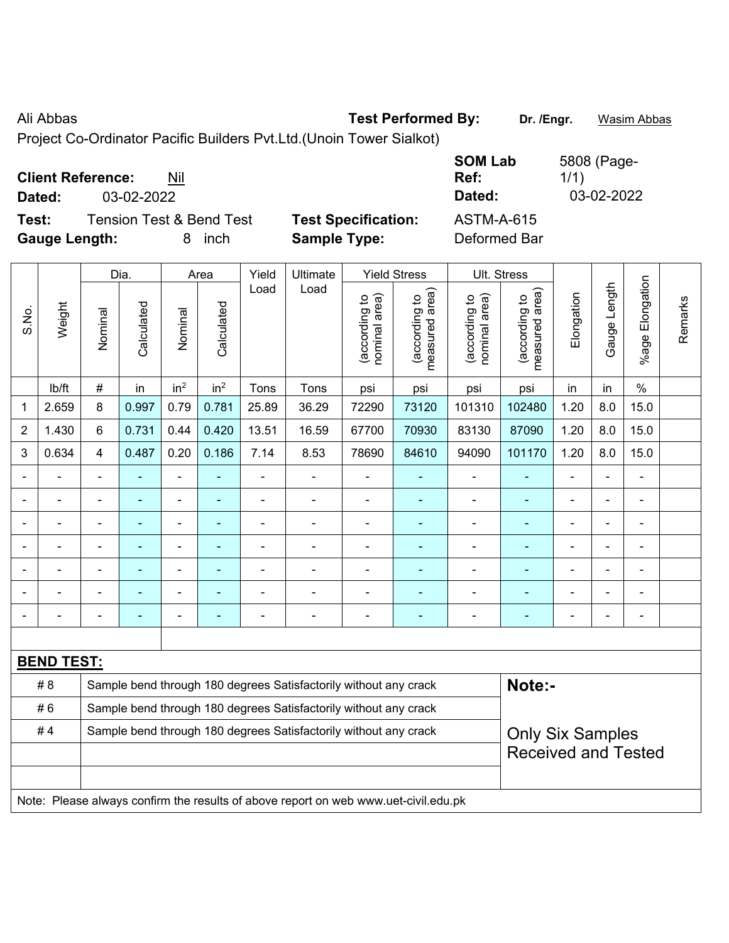Ali Abbas **Test Performed By: Dr. /Engr.** Wasim Abbas

Project Co-Ordinator Pacific Builders Pvt.Ltd.(Unoin Tower Sialkot)

|                                              |                            | <b>SOM Lab</b>    | 5808 (Page- |
|----------------------------------------------|----------------------------|-------------------|-------------|
| <b>Client Reference:</b><br>Nil              |                            | Ref:              | 1/1)        |
| 03-02-2022<br>Dated:                         |                            | Dated:            | 03-02-2022  |
| Test:<br><b>Tension Test &amp; Bend Test</b> | <b>Test Specification:</b> | <b>ASTM-A-615</b> |             |
| <b>Gauge Length:</b><br>inch<br>8.           | <b>Sample Type:</b>        | Deformed Bar      |             |

|                | Dia.<br>Area      |         |                | Yield                    | Ultimate                 |                | <b>Yield Stress</b>                                                                 |                                | Ult. Stress                     |                                |                                 |                |                |                           |         |
|----------------|-------------------|---------|----------------|--------------------------|--------------------------|----------------|-------------------------------------------------------------------------------------|--------------------------------|---------------------------------|--------------------------------|---------------------------------|----------------|----------------|---------------------------|---------|
| S.No.          | Weight            | Nominal | Calculated     | Nominal                  | Calculated               | Load           | Load                                                                                | nominal area)<br>(according to | (according to<br>measured area) | nominal area)<br>(according to | (according to<br>measured area) | Elongation     | Gauge Length   | Elongation<br>$%$ age $ $ | Remarks |
|                | lb/ft             | $\#$    | in             | in <sup>2</sup>          | in <sup>2</sup>          | Tons           | Tons                                                                                | psi                            | psi                             | psi                            | psi                             | in             | in             | $\%$                      |         |
| 1              | 2.659             | $\,8\,$ | 0.997          | 0.79                     | 0.781                    | 25.89          | 36.29                                                                               | 72290                          | 73120                           | 101310                         | 102480                          | 1.20           | 8.0            | 15.0                      |         |
| $\overline{2}$ | 1.430             | 6       | 0.731          | 0.44                     | 0.420                    | 13.51          | 16.59                                                                               | 67700                          | 70930                           | 83130                          | 87090                           | 1.20           | 8.0            | 15.0                      |         |
| 3              | 0.634             | 4       | 0.487          | 0.20                     | 0.186                    | 7.14           | 8.53                                                                                | 78690                          | 84610                           | 94090                          | 101170                          | 1.20           | 8.0            | 15.0                      |         |
|                |                   |         | ÷              | $\blacksquare$           | $\blacksquare$           | $\blacksquare$ | $\blacksquare$                                                                      | ä,                             | $\blacksquare$                  | $\blacksquare$                 | ÷                               | ä,             | $\blacksquare$ | L,                        |         |
|                | $\blacksquare$    |         | ÷              | $\blacksquare$           | $\blacksquare$           | $\blacksquare$ | $\blacksquare$                                                                      | $\blacksquare$                 | $\blacksquare$                  | $\overline{\phantom{a}}$       | $\blacksquare$                  | ÷              | ÷,             | $\overline{\phantom{a}}$  |         |
|                | ÷                 |         | $\blacksquare$ | $\blacksquare$           | $\overline{\phantom{a}}$ | Ē,             | $\blacksquare$                                                                      | $\blacksquare$                 | $\blacksquare$                  | $\blacksquare$                 |                                 | ÷              | $\blacksquare$ | $\blacksquare$            |         |
|                | $\blacksquare$    |         | ÷              | $\blacksquare$           | $\blacksquare$           | $\blacksquare$ | $\blacksquare$                                                                      | ÷                              | $\blacksquare$                  | $\blacksquare$                 | $\blacksquare$                  | $\blacksquare$ | $\blacksquare$ | $\blacksquare$            |         |
|                |                   |         |                |                          |                          |                |                                                                                     | $\overline{\phantom{0}}$       |                                 |                                |                                 |                |                | $\overline{\phantom{a}}$  |         |
|                |                   |         |                |                          |                          |                |                                                                                     |                                |                                 |                                |                                 |                |                |                           |         |
|                |                   |         | $\blacksquare$ | $\overline{\phantom{0}}$ | $\overline{a}$           |                | $\blacksquare$                                                                      | $\blacksquare$                 | $\overline{\phantom{0}}$        | $\blacksquare$                 |                                 | $\blacksquare$ | ۰              | -                         |         |
|                |                   |         |                |                          |                          |                |                                                                                     |                                |                                 |                                |                                 |                |                |                           |         |
|                | <b>BEND TEST:</b> |         |                |                          |                          |                |                                                                                     |                                |                                 |                                |                                 |                |                |                           |         |
|                | # 8               |         |                |                          |                          |                | Sample bend through 180 degrees Satisfactorily without any crack                    |                                |                                 |                                | Note:-                          |                |                |                           |         |
|                | #6                |         |                |                          |                          |                | Sample bend through 180 degrees Satisfactorily without any crack                    |                                |                                 |                                |                                 |                |                |                           |         |
|                | #4                |         |                |                          |                          |                | Sample bend through 180 degrees Satisfactorily without any crack                    |                                |                                 |                                | <b>Only Six Samples</b>         |                |                |                           |         |
|                |                   |         |                |                          |                          |                |                                                                                     |                                |                                 |                                | <b>Received and Tested</b>      |                |                |                           |         |
|                |                   |         |                |                          |                          |                |                                                                                     |                                |                                 |                                |                                 |                |                |                           |         |
|                |                   |         |                |                          |                          |                | Note: Please always confirm the results of above report on web www.uet-civil.edu.pk |                                |                                 |                                |                                 |                |                |                           |         |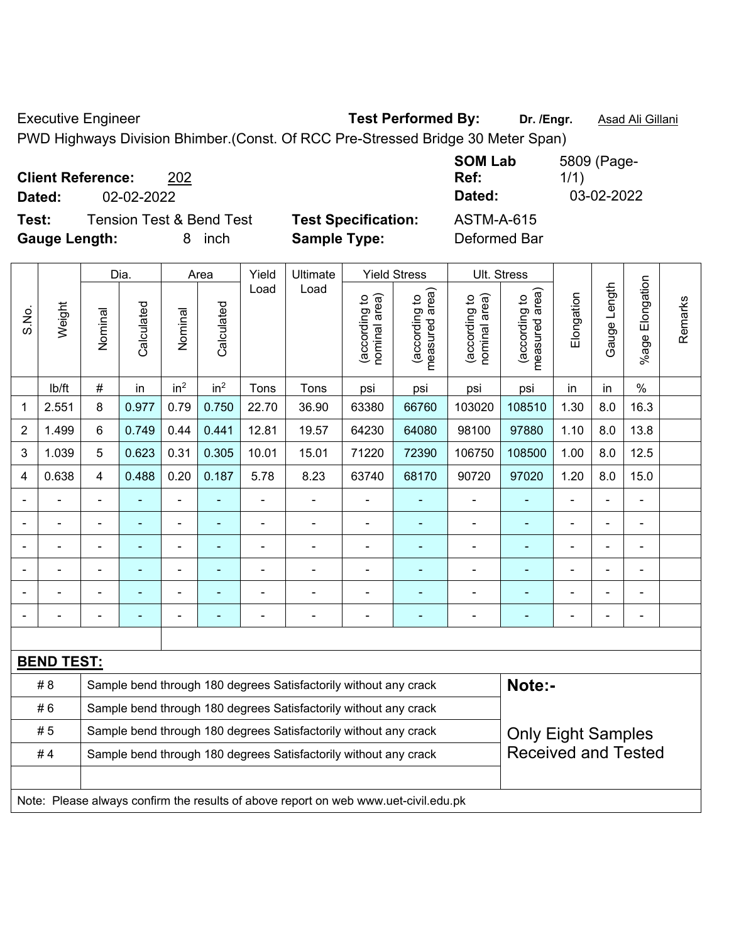Executive Engineer **Test Performed By:** Dr. /Engr. **Asad Ali Gillani Executive Engineer** 

PWD Highways Division Bhimber.(Const. Of RCC Pre-Stressed Bridge 30 Meter Span)

| <b>Client Reference:</b> |            | 202                      |                            | <b>SOM Lab</b><br>Ref: | 5809 (Page-<br>1/1) |
|--------------------------|------------|--------------------------|----------------------------|------------------------|---------------------|
| Dated:                   | 02-02-2022 |                          |                            | Dated:                 | 03-02-2022          |
| Test:                    |            | Tension Test & Bend Test | <b>Test Specification:</b> | <b>ASTM-A-615</b>      |                     |
| <b>Gauge Length:</b>     |            | inch<br>8                | <b>Sample Type:</b>        | Deformed Bar           |                     |

| S.No.          | Weight                                                                              | Dia.                                                             |                                                                  | Area                         |                 | Yield          | Ultimate                                                         | <b>Yield Stress</b>            |                                                         | Ult. Stress                    |                                 |                |                |                       |         |
|----------------|-------------------------------------------------------------------------------------|------------------------------------------------------------------|------------------------------------------------------------------|------------------------------|-----------------|----------------|------------------------------------------------------------------|--------------------------------|---------------------------------------------------------|--------------------------------|---------------------------------|----------------|----------------|-----------------------|---------|
|                |                                                                                     | Nominal                                                          | Calculated                                                       | Nominal                      | Calculated      | Load           | Load                                                             | nominal area)<br>(according to | (according to<br>measured area)                         | nominal area)<br>(according to | measured area)<br>(according to | Elongation     | Gauge Length   | Elongation<br>$%$ age | Remarks |
|                | lb/ft                                                                               | $\#$                                                             | in                                                               | in <sup>2</sup>              | in <sup>2</sup> | Tons           | Tons                                                             | psi                            | psi                                                     | psi                            | psi                             | in             | in             | $\%$                  |         |
| 1              | 2.551                                                                               | 8                                                                | 0.977                                                            | 0.79                         | 0.750           | 22.70          | 36.90                                                            | 63380                          | 66760                                                   | 103020                         | 108510                          | 1.30           | 8.0            | 16.3                  |         |
| $\overline{2}$ | 1.499                                                                               | 6                                                                | 0.749                                                            | 0.44                         | 0.441           | 12.81          | 19.57                                                            | 64230                          | 64080                                                   | 98100                          | 97880                           | 1.10           | 8.0            | 13.8                  |         |
| 3              | 1.039                                                                               | 5                                                                | 0.623                                                            | 0.31                         | 0.305           | 10.01          | 15.01                                                            | 71220                          | 72390                                                   | 106750                         | 108500                          | 1.00           | 8.0            | 12.5                  |         |
| 4              | 0.638                                                                               | 4                                                                | 0.488                                                            | 0.20                         | 0.187           | 5.78           | 8.23                                                             | 63740                          | 68170                                                   | 90720                          | 97020                           | 1.20           | 8.0            | 15.0                  |         |
|                | $\blacksquare$                                                                      | $\blacksquare$                                                   | $\blacksquare$                                                   | $\qquad \qquad \blacksquare$ |                 | L,             | $\blacksquare$                                                   | $\blacksquare$                 | $\overline{\phantom{a}}$                                | $\blacksquare$                 |                                 | $\blacksquare$ | ä,             | ä,                    |         |
|                | ä,                                                                                  | $\blacksquare$                                                   | $\blacksquare$                                                   | ÷,                           | $\blacksquare$  | $\blacksquare$ | $\blacksquare$                                                   | $\blacksquare$                 | $\blacksquare$                                          | $\blacksquare$                 | ÷                               | ÷              | ä,             | $\blacksquare$        |         |
|                | $\blacksquare$                                                                      |                                                                  | $\blacksquare$                                                   | ÷,                           | $\blacksquare$  |                | $\blacksquare$                                                   | $\blacksquare$                 | $\blacksquare$                                          | $\blacksquare$                 | ä,                              |                | $\blacksquare$ | $\blacksquare$        |         |
|                |                                                                                     |                                                                  | $\blacksquare$                                                   |                              | $\blacksquare$  |                |                                                                  | $\overline{\phantom{0}}$       | $\blacksquare$                                          | $\overline{\phantom{0}}$       |                                 |                | $\blacksquare$ | $\blacksquare$        |         |
|                |                                                                                     |                                                                  |                                                                  |                              |                 |                |                                                                  |                                |                                                         |                                |                                 |                |                |                       |         |
|                |                                                                                     | $\blacksquare$                                                   | $\blacksquare$                                                   | ÷                            | $\blacksquare$  | $\blacksquare$ | $\blacksquare$                                                   | $\overline{\phantom{0}}$       | $\overline{\phantom{a}}$                                | ÷                              | ÷                               | ۳              | $\blacksquare$ | $\blacksquare$        |         |
|                |                                                                                     |                                                                  |                                                                  |                              |                 |                |                                                                  |                                |                                                         |                                |                                 |                |                |                       |         |
|                | <b>BEND TEST:</b>                                                                   |                                                                  |                                                                  |                              |                 |                |                                                                  |                                |                                                         |                                |                                 |                |                |                       |         |
|                | # 8                                                                                 |                                                                  |                                                                  |                              |                 |                | Sample bend through 180 degrees Satisfactorily without any crack |                                |                                                         |                                | Note:-                          |                |                |                       |         |
|                | #6                                                                                  |                                                                  |                                                                  |                              |                 |                | Sample bend through 180 degrees Satisfactorily without any crack |                                |                                                         |                                |                                 |                |                |                       |         |
|                | #5                                                                                  | Sample bend through 180 degrees Satisfactorily without any crack |                                                                  |                              |                 |                |                                                                  |                                | <b>Only Eight Samples</b><br><b>Received and Tested</b> |                                |                                 |                |                |                       |         |
| #4             |                                                                                     |                                                                  | Sample bend through 180 degrees Satisfactorily without any crack |                              |                 |                |                                                                  |                                |                                                         |                                |                                 |                |                |                       |         |
|                |                                                                                     |                                                                  |                                                                  |                              |                 |                |                                                                  |                                |                                                         |                                |                                 |                |                |                       |         |
|                | Note: Please always confirm the results of above report on web www.uet-civil.edu.pk |                                                                  |                                                                  |                              |                 |                |                                                                  |                                |                                                         |                                |                                 |                |                |                       |         |